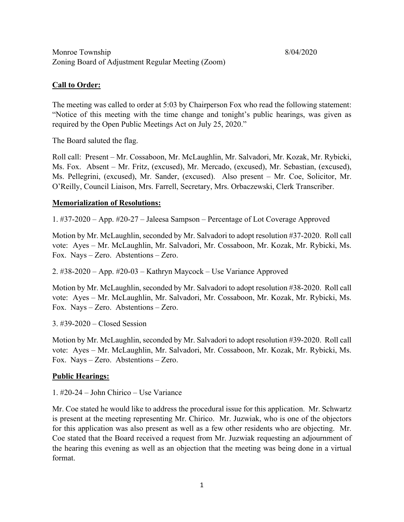# **Call to Order:**

The meeting was called to order at 5:03 by Chairperson Fox who read the following statement: "Notice of this meeting with the time change and tonight's public hearings, was given as required by the Open Public Meetings Act on July 25, 2020."

The Board saluted the flag.

Roll call: Present – Mr. Cossaboon, Mr. McLaughlin, Mr. Salvadori, Mr. Kozak, Mr. Rybicki, Ms. Fox. Absent – Mr. Fritz, (excused), Mr. Mercado, (excused), Mr. Sebastian, (excused), Ms. Pellegrini, (excused), Mr. Sander, (excused). Also present – Mr. Coe, Solicitor, Mr. O'Reilly, Council Liaison, Mrs. Farrell, Secretary, Mrs. Orbaczewski, Clerk Transcriber.

## **Memorialization of Resolutions:**

1. #37-2020 – App. #20-27 – Jaleesa Sampson – Percentage of Lot Coverage Approved

Motion by Mr. McLaughlin, seconded by Mr. Salvadori to adopt resolution #37-2020. Roll call vote: Ayes – Mr. McLaughlin, Mr. Salvadori, Mr. Cossaboon, Mr. Kozak, Mr. Rybicki, Ms. Fox. Nays – Zero. Abstentions – Zero.

2. #38-2020 – App. #20-03 – Kathryn Maycock – Use Variance Approved

Motion by Mr. McLaughlin, seconded by Mr. Salvadori to adopt resolution #38-2020. Roll call vote: Ayes – Mr. McLaughlin, Mr. Salvadori, Mr. Cossaboon, Mr. Kozak, Mr. Rybicki, Ms. Fox. Nays – Zero. Abstentions – Zero.

3. #39-2020 – Closed Session

Motion by Mr. McLaughlin, seconded by Mr. Salvadori to adopt resolution #39-2020. Roll call vote: Ayes – Mr. McLaughlin, Mr. Salvadori, Mr. Cossaboon, Mr. Kozak, Mr. Rybicki, Ms. Fox. Nays – Zero. Abstentions – Zero.

# **Public Hearings:**

1. #20-24 – John Chirico – Use Variance

Mr. Coe stated he would like to address the procedural issue for this application. Mr. Schwartz is present at the meeting representing Mr. Chirico. Mr. Juzwiak, who is one of the objectors for this application was also present as well as a few other residents who are objecting. Mr. Coe stated that the Board received a request from Mr. Juzwiak requesting an adjournment of the hearing this evening as well as an objection that the meeting was being done in a virtual format.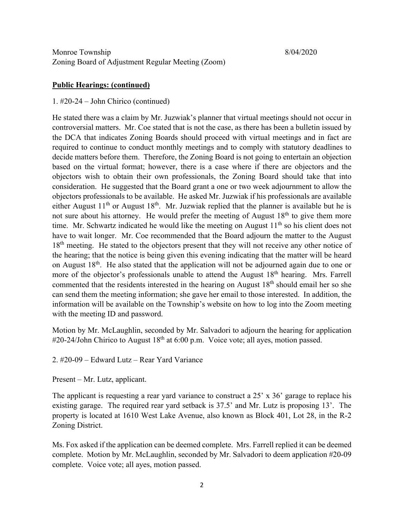#### **Public Hearings: (continued)**

#### 1. #20-24 – John Chirico (continued)

He stated there was a claim by Mr. Juzwiak's planner that virtual meetings should not occur in controversial matters. Mr. Coe stated that is not the case, as there has been a bulletin issued by the DCA that indicates Zoning Boards should proceed with virtual meetings and in fact are required to continue to conduct monthly meetings and to comply with statutory deadlines to decide matters before them. Therefore, the Zoning Board is not going to entertain an objection based on the virtual format; however, there is a case where if there are objectors and the objectors wish to obtain their own professionals, the Zoning Board should take that into consideration. He suggested that the Board grant a one or two week adjournment to allow the objectors professionals to be available. He asked Mr. Juzwiak if his professionals are available either August  $11<sup>th</sup>$  or August  $18<sup>th</sup>$ . Mr. Juzwiak replied that the planner is available but he is not sure about his attorney. He would prefer the meeting of August  $18<sup>th</sup>$  to give them more time. Mr. Schwartz indicated he would like the meeting on August  $11<sup>th</sup>$  so his client does not have to wait longer. Mr. Coe recommended that the Board adjourn the matter to the August 18<sup>th</sup> meeting. He stated to the objectors present that they will not receive any other notice of the hearing; that the notice is being given this evening indicating that the matter will be heard on August  $18<sup>th</sup>$ . He also stated that the application will not be adjourned again due to one or more of the objector's professionals unable to attend the August  $18<sup>th</sup>$  hearing. Mrs. Farrell commented that the residents interested in the hearing on August  $18<sup>th</sup>$  should email her so she can send them the meeting information; she gave her email to those interested. In addition, the information will be available on the Township's website on how to log into the Zoom meeting with the meeting ID and password.

Motion by Mr. McLaughlin, seconded by Mr. Salvadori to adjourn the hearing for application #20-24/John Chirico to August 18<sup>th</sup> at 6:00 p.m. Voice vote; all ayes, motion passed.

2. #20-09 – Edward Lutz – Rear Yard Variance

Present – Mr. Lutz, applicant.

The applicant is requesting a rear yard variance to construct a 25' x 36' garage to replace his existing garage. The required rear yard setback is 37.5' and Mr. Lutz is proposing 13'. The property is located at 1610 West Lake Avenue, also known as Block 401, Lot 28, in the R-2 Zoning District.

Ms. Fox asked if the application can be deemed complete. Mrs. Farrell replied it can be deemed complete. Motion by Mr. McLaughlin, seconded by Mr. Salvadori to deem application #20-09 complete. Voice vote; all ayes, motion passed.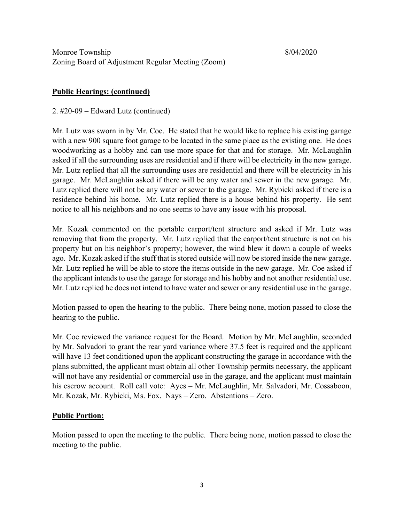# **Public Hearings: (continued)**

2. #20-09 – Edward Lutz (continued)

Mr. Lutz was sworn in by Mr. Coe. He stated that he would like to replace his existing garage with a new 900 square foot garage to be located in the same place as the existing one. He does woodworking as a hobby and can use more space for that and for storage. Mr. McLaughlin asked if all the surrounding uses are residential and if there will be electricity in the new garage. Mr. Lutz replied that all the surrounding uses are residential and there will be electricity in his garage. Mr. McLaughlin asked if there will be any water and sewer in the new garage. Mr. Lutz replied there will not be any water or sewer to the garage. Mr. Rybicki asked if there is a residence behind his home. Mr. Lutz replied there is a house behind his property. He sent notice to all his neighbors and no one seems to have any issue with his proposal.

Mr. Kozak commented on the portable carport/tent structure and asked if Mr. Lutz was removing that from the property. Mr. Lutz replied that the carport/tent structure is not on his property but on his neighbor's property; however, the wind blew it down a couple of weeks ago. Mr. Kozak asked if the stuff that is stored outside will now be stored inside the new garage. Mr. Lutz replied he will be able to store the items outside in the new garage. Mr. Coe asked if the applicant intends to use the garage for storage and his hobby and not another residential use. Mr. Lutz replied he does not intend to have water and sewer or any residential use in the garage.

Motion passed to open the hearing to the public. There being none, motion passed to close the hearing to the public.

Mr. Coe reviewed the variance request for the Board. Motion by Mr. McLaughlin, seconded by Mr. Salvadori to grant the rear yard variance where 37.5 feet is required and the applicant will have 13 feet conditioned upon the applicant constructing the garage in accordance with the plans submitted, the applicant must obtain all other Township permits necessary, the applicant will not have any residential or commercial use in the garage, and the applicant must maintain his escrow account. Roll call vote: Ayes – Mr. McLaughlin, Mr. Salvadori, Mr. Cossaboon, Mr. Kozak, Mr. Rybicki, Ms. Fox. Nays – Zero. Abstentions – Zero.

## **Public Portion:**

Motion passed to open the meeting to the public. There being none, motion passed to close the meeting to the public.